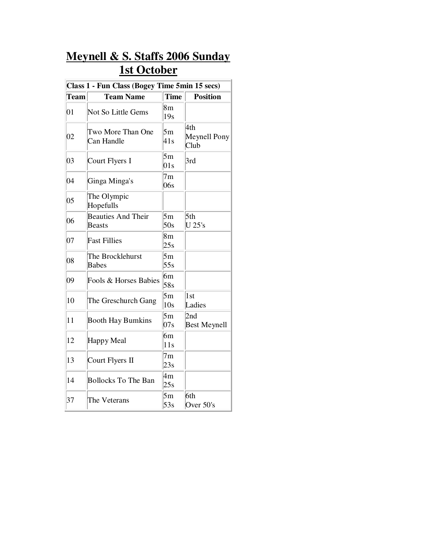## **Meynell & S. Staffs 2006 Sunday 1st October**

| Class 1 - Fun Class (Bogey Time 5min 15 secs) |                                            |                       |                             |  |  |  |
|-----------------------------------------------|--------------------------------------------|-----------------------|-----------------------------|--|--|--|
| Team                                          | <b>Team Name</b>                           | <b>Time</b>           | <b>Position</b>             |  |  |  |
| 01                                            | Not So Little Gems                         | 8 <sub>m</sub><br>19s |                             |  |  |  |
| 02                                            | Two More Than One<br>Can Handle            | 5m<br>41s             | 4th<br>Meynell Pony<br>Club |  |  |  |
| 03                                            | Court Flyers I                             | 5m<br>01s             | 3rd                         |  |  |  |
| 04                                            | Ginga Minga's                              | 7 <sub>m</sub><br>06s |                             |  |  |  |
| 05                                            | The Olympic<br>Hopefulls                   |                       |                             |  |  |  |
| 06                                            | <b>Beauties And Their</b><br><b>Beasts</b> | 5m<br>50s             | 5th<br>$U$ 25's             |  |  |  |
| 07                                            | <b>Fast Fillies</b>                        | 8 <sub>m</sub><br>25s |                             |  |  |  |
| 08                                            | The Brocklehurst<br><b>Babes</b>           | 5m<br>55s             |                             |  |  |  |
| 09                                            | Fools & Horses Babies                      | 6m<br>58s             |                             |  |  |  |
| 10                                            | The Greschurch Gang                        | 5m<br>10s             | 1st<br>Ladies               |  |  |  |
| 11                                            | <b>Booth Hay Bumkins</b>                   | 5m<br>07s             | 2nd<br><b>Best Meynell</b>  |  |  |  |
| 12                                            | Happy Meal                                 | 6m<br>11s             |                             |  |  |  |
| 13                                            | Court Flyers II                            | 7 <sub>m</sub><br>23s |                             |  |  |  |
| 14                                            | <b>Bollocks To The Ban</b>                 | 4m<br>25s             |                             |  |  |  |
| 37                                            | The Veterans                               | 5m<br>53s             | 6th<br>Over 50's            |  |  |  |